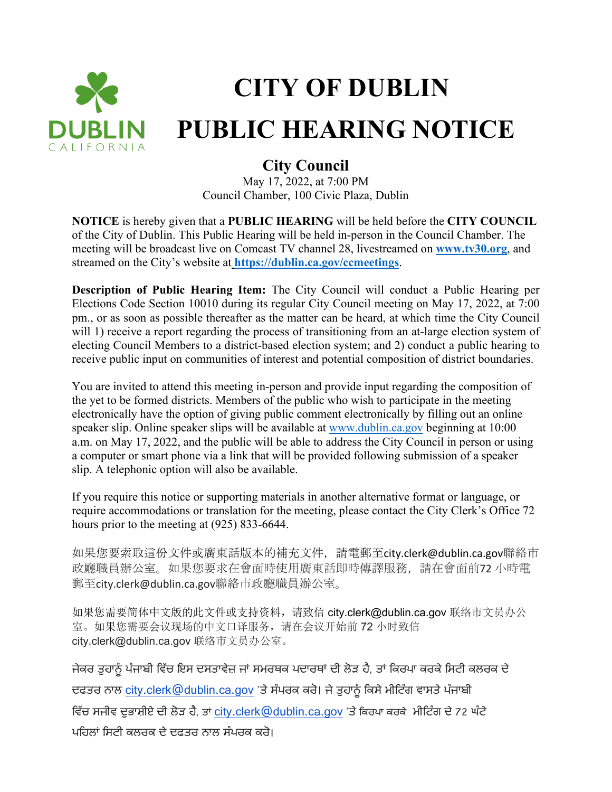

## **CITY OF DUBLIN PUBLIC HEARING NOTICE**

## **City Council**

May 17, 2022, at 7:00 PM Council Chamber, 100 Civic Plaza, Dublin

**NOTICE** is hereby given that a **PUBLIC HEARING** will be held before the **CITY COUNCIL** of the City of Dublin. This Public Hearing will be held in-person in the Council Chamber. The meeting will be broadcast live on Comcast TV channel 28, livestreamed on **[www.tv30.org](http://www.tv30.org/)**, and streamed on the City's website at **<https://dublin.ca.gov/ccmeetings>**.

**Description of Public Hearing Item:** The City Council will conduct a Public Hearing per Elections Code Section 10010 during its regular City Council meeting on May 17, 2022, at 7:00 pm., or as soon as possible thereafter as the matter can be heard, at which time the City Council will 1) receive a report regarding the process of transitioning from an at-large election system of electing Council Members to a district-based election system; and 2) conduct a public hearing to receive public input on communities of interest and potential composition of district boundaries.

You are invited to attend this meeting in-person and provide input regarding the composition of the yet to be formed districts. Members of the public who wish to participate in the meeting electronically have the option of giving public comment electronically by filling out an online speaker slip. Online speaker slips will be available at [www.dublin.ca.gov](http://www.dublin.ca.gov/) beginning at 10:00 a.m. on May 17, 2022, and the public will be able to address the City Council in person or using a computer or smart phone via a link that will be provided following submission of a speaker slip. A telephonic option will also be available.

If you require this notice or supporting materials in another alternative format or language, or require accommodations or translation for the meeting, please contact the City Clerk's Office 72 hours prior to the meeting at (925) 833-6644.

如果您要索取這份文件或廣東話版本的補充文件,請電郵至city.clerk@dublin.ca.gov聯絡市 政廳職員辦公室。如果您要求在會面時使用廣東話即時傳譯服務,請在會面前72 小時電 郵至city.clerk@dublin.ca.gov聯絡市政廳職員辦公室。

如果您需要简体中文版的此文件或支持资料,请致信 city.clerk@dublin.ca.gov 联络市文员办公 室。如果您需要会议现场的中文口译服务,请在会议开始前 72 小时致信 city.clerk@dublin.ca.gov 联络市文员办公室。

ਜੇਕਰ ਤੁਹਾਨੂੰ ਪੰਜਾਬੀ ਵਿੱਚ ਇਸ ਦਸਤਾਵੇਜ਼ ਜਾਂ ਸਮਰਥਕ ਪਦਾਰਥਾਂ ਦੀ ਲੋੜ ਹੈ, ਤਾਂ ਕਿਰਪਾ ਕਰਕੇ ਸਿਟੀ ਕਲਰਕ ਦੇ ਦਫਤਰ ਨਾਲ [city.clerk@dublin.ca.gov](mailto:city.clerk@dublin.ca.gov) 'ਤੇ ਸੰਪਰਕ ਕਰੋ। ਜੇ ਤੁਹਾਨੂੰ ਕਿਸੇ ਮੀਟਿੰਗ ਵਾਸਤੇ ਪੰਜਾਬੀ ਵਿੱਚ ਸਜੀਵ ਦੁਭਾਸ਼ੀਏ ਦੀ ਲੋੜ ਹੈ, ਤਾਂ [city.clerk@dublin.ca.gov](mailto:city.clerk@dublin.ca.gov) 'ਤੇ ਕਿਰਪਾ ਕਰਕੇ ਮੀਟਿੰਗ ਦੇ 72 ਘੰਟੇ ਪਹਿਲਾਂ ਸਿਟੀ ਕਲਰਕ ਦੇ ਦਫਤਰ ਨਾਲ ਸੰਪਰਕ ਕਰੋ।